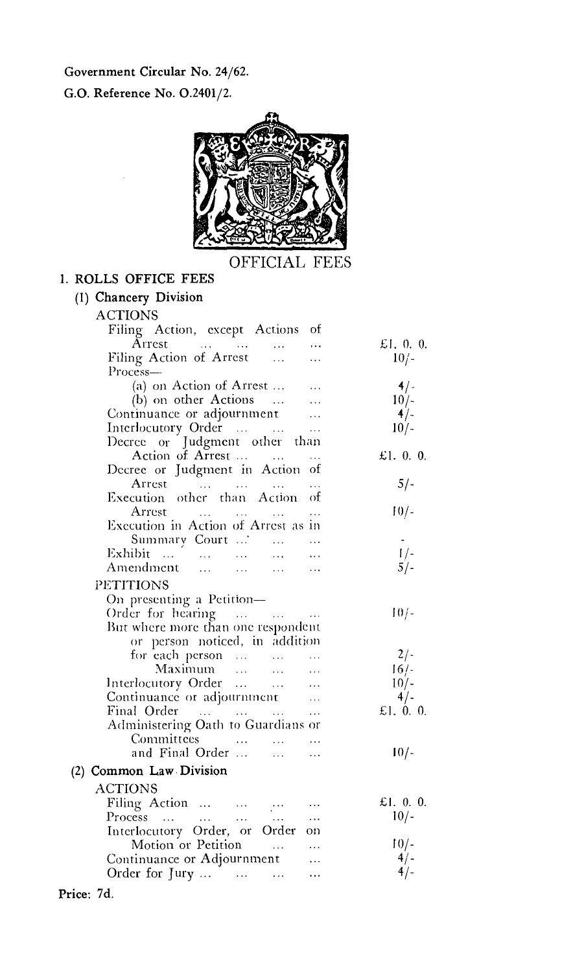Government Circular No. 24/62.

G.O. Reference No. 0.2401/2.



## OFFICIAL FEES

## 1. ROLLS OFFICE FEES

| (1) Chancery Division                                   |             |
|---------------------------------------------------------|-------------|
| <b>ACTIONS</b>                                          |             |
| Filing Action, except Actions of                        |             |
| Arrest<br>$\cdots$                                      | £1, 0, 0.   |
| Filing Action of Arrest<br>$\ldots$                     | $10/-$      |
| Process-                                                |             |
| (a) on Action of Arrest                                 | 4/          |
| (b) on other Actions<br>$\sim$ 100 $\pm$                | $10/-$      |
| Continuance or adjournment                              | $4/-$       |
| Interlocutory Order                                     | $10/-$      |
| Decree or Judgment other<br>– than                      |             |
| Action of Arrest                                        | £1. $0.0$ . |
| Decree or Judgment in Action of                         |             |
| Arrest<br>$\sim$ 10 $\pm$<br>$\cdots$                   | $5/-$       |
| Execution other than Action<br>οf                       |             |
| Arrest<br>$\ddotsc$                                     | $10/-$      |
| Execution in Action of Arrest as in                     |             |
| Summary Court '                                         | $\sim$      |
| Exhibit                                                 | $1/-$       |
| Amendment<br>$\mathbf{r}$<br>$\cdots$                   | $5/-$       |
| <b>PETITIONS</b>                                        |             |
| On presenting a Petition-                               |             |
|                                                         |             |
| Order for hearing                                       | $10/-$      |
| But where more than one respondent                      |             |
| or person noticed, in addition                          |             |
|                                                         | $2/-$       |
| for each person<br>Maximum                              | 16/         |
| Interlocutory Order                                     | $10/-$      |
| Continuance or adjournment                              | 4/          |
| Final Order<br>$\sim$ $\sim$                            | £1. 0. 0.   |
| Administering Oath to Guardians or                      |             |
| Committees                                              |             |
| and Final Order<br>$\ddotsc$                            | $10/-$      |
| (2) Common Law Division                                 |             |
| ACTIONS                                                 |             |
|                                                         | £1. 0. 0.   |
| Filing Action<br>Process<br>$\mathbf{1}$ , $\mathbf{1}$ | $10/-$      |
| Interlocutory Order, or Order<br>on                     |             |
| Motion or Petition                                      | $10/-$      |
| Continuance or Adjournment                              | $4/-$       |
| Order for Jury<br>.                                     | $4/-$       |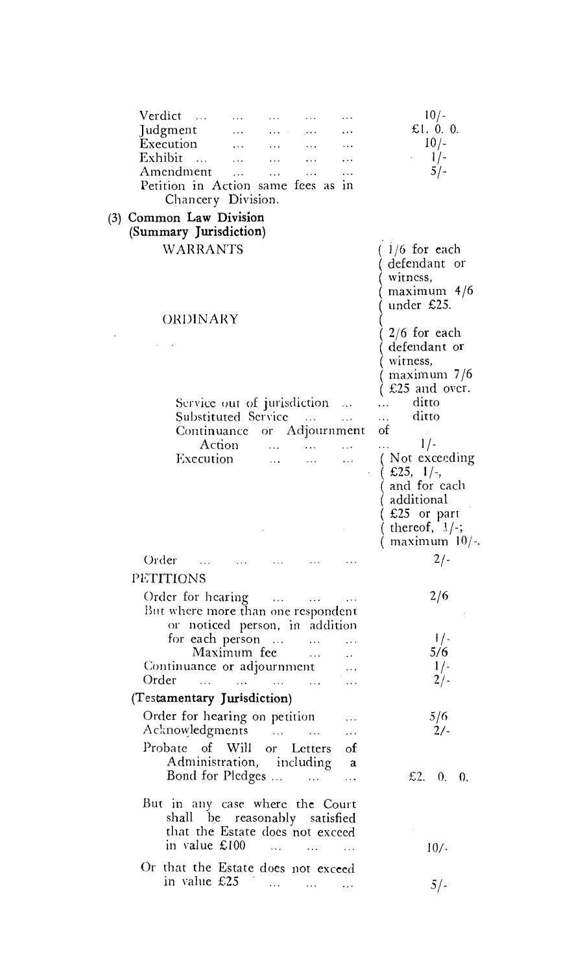| Verdict                                                                                                              |          |                                                                                                                                   |                             |                   | $10/-$                                                                     |
|----------------------------------------------------------------------------------------------------------------------|----------|-----------------------------------------------------------------------------------------------------------------------------------|-----------------------------|-------------------|----------------------------------------------------------------------------|
| Judgment                                                                                                             |          |                                                                                                                                   |                             |                   | £1. $0.0$ .                                                                |
| Execution                                                                                                            |          |                                                                                                                                   |                             |                   | $10/-$                                                                     |
| Exhibit                                                                                                              | $\sim$ . |                                                                                                                                   |                             |                   | $1/-$                                                                      |
| Amendment                                                                                                            | $\cdots$ | $\ldots$                                                                                                                          |                             |                   | $5/-$                                                                      |
| Petition in Action same fees as<br>Chancery Division.                                                                |          |                                                                                                                                   |                             | ារា               |                                                                            |
| (3) Common Law Division<br>(Summary Jurisdiction)                                                                    |          |                                                                                                                                   |                             |                   |                                                                            |
| <b>WARRANTS</b>                                                                                                      |          |                                                                                                                                   |                             |                   | $1/6$ for each                                                             |
|                                                                                                                      |          |                                                                                                                                   |                             |                   | defendant or<br>witness,<br>maximum 4/6<br>under £25.                      |
| ORDINARY                                                                                                             |          |                                                                                                                                   |                             |                   | $2/6$ for each<br>defendant or<br>witness,<br>maximum 7/6<br>£25 and over. |
| Service out of jurisdiction                                                                                          |          |                                                                                                                                   |                             | .                 | ditto                                                                      |
| Substituted Service                                                                                                  |          |                                                                                                                                   |                             | $\ldots$          | ditto                                                                      |
| Continuance or Adjournment                                                                                           |          |                                                                                                                                   |                             |                   | οf                                                                         |
| Action                                                                                                               |          | <b>Castle Committee</b>                                                                                                           |                             |                   | $1/-$                                                                      |
| Execution                                                                                                            |          | $\ldots$                                                                                                                          |                             |                   | (Not exceeding                                                             |
|                                                                                                                      |          |                                                                                                                                   |                             |                   | (E25, 1/4)<br>and for each                                                 |
|                                                                                                                      |          |                                                                                                                                   |                             |                   | additional                                                                 |
|                                                                                                                      |          |                                                                                                                                   |                             |                   |                                                                            |
|                                                                                                                      |          |                                                                                                                                   |                             |                   | $($ £25 $\,$ or part<br>( thereof, $\,$ 1/-;                               |
|                                                                                                                      |          |                                                                                                                                   |                             |                   | maximum $10/-$ .                                                           |
| Order                                                                                                                |          |                                                                                                                                   |                             |                   | $2/-$                                                                      |
| PETITIONS                                                                                                            |          |                                                                                                                                   |                             |                   |                                                                            |
| Order for hearing                                                                                                    |          |                                                                                                                                   |                             |                   | 2/6                                                                        |
| But where more than one respondent                                                                                   |          | $\mathcal{L}^{\mathcal{L}}$ , and $\mathcal{L}^{\mathcal{L}}$ , and $\mathcal{L}^{\mathcal{L}}$ , and $\mathcal{L}^{\mathcal{L}}$ |                             |                   |                                                                            |
| or noticed person, in addition                                                                                       |          |                                                                                                                                   |                             |                   |                                                                            |
| for each person                                                                                                      |          |                                                                                                                                   |                             |                   | $1/-$                                                                      |
| Maximum fee                                                                                                          |          |                                                                                                                                   | $\cdots$                    |                   | 5/6                                                                        |
| Continuance or adjournment                                                                                           |          |                                                                                                                                   |                             |                   | $1/-$                                                                      |
| Order<br>$\sim 100$                                                                                                  |          |                                                                                                                                   | <b>Contract</b>             |                   | $2/-$                                                                      |
| (Testamentary Jurisdiction)                                                                                          |          |                                                                                                                                   |                             |                   |                                                                            |
| Order for hearing on petition                                                                                        |          |                                                                                                                                   |                             |                   | 5/6                                                                        |
| Acknowledgments                                                                                                      |          |                                                                                                                                   |                             | $\ldots$          | 2/-                                                                        |
| Probate of Will or Letters                                                                                           |          |                                                                                                                                   |                             | $\alpha$          |                                                                            |
| Administration, including                                                                                            |          |                                                                                                                                   |                             | a.                |                                                                            |
| Bond for Pledges                                                                                                     |          |                                                                                                                                   |                             | $\ddotsc$         | £2, 0, 0,                                                                  |
| But in any case where the Court<br>shall be reasonably satisfied<br>that the Estate does not exceed<br>in value £100 |          | $\sim$ $\sim$ $\sim$ $\sim$                                                                                                       | $\sim$ $\sim$ $\sim$ $\sim$ | <b>Contractor</b> | $10/-$                                                                     |
| Or that the Estate does not exceed                                                                                   |          |                                                                                                                                   |                             |                   |                                                                            |
| in value £25                                                                                                         |          | الموارد المتعادل المتحدث                                                                                                          |                             |                   | $5/-$                                                                      |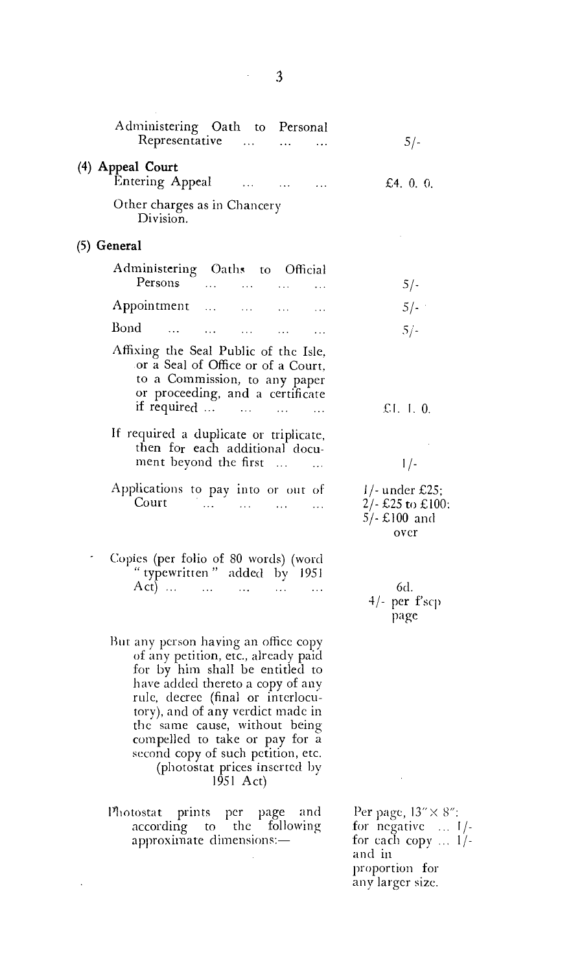|                                      | Administering Oath to Personal<br>Representative                                                                                                                                                                                                                                                                                                                                      |                   | $5/-$                                                                                                                 |
|--------------------------------------|---------------------------------------------------------------------------------------------------------------------------------------------------------------------------------------------------------------------------------------------------------------------------------------------------------------------------------------------------------------------------------------|-------------------|-----------------------------------------------------------------------------------------------------------------------|
| (4) Appeal Court<br>Entering Appeal  | $\ldots$                                                                                                                                                                                                                                                                                                                                                                              | <b>Contractor</b> | £4. $0.0$ .                                                                                                           |
| Division.                            | Other charges as in Chancery                                                                                                                                                                                                                                                                                                                                                          |                   |                                                                                                                       |
| (5) General                          |                                                                                                                                                                                                                                                                                                                                                                                       |                   |                                                                                                                       |
|                                      | Administering Oaths to Official<br>Persons                                                                                                                                                                                                                                                                                                                                            |                   | $5/-$                                                                                                                 |
|                                      | Appointment                                                                                                                                                                                                                                                                                                                                                                           |                   | $5/-$                                                                                                                 |
| Bond<br>and the contract of the con- | and the state of the state of the                                                                                                                                                                                                                                                                                                                                                     |                   | $5/-$                                                                                                                 |
|                                      | Affixing the Seal Public of the Isle,<br>or a Seal of Office or of a Court.<br>to a Commission, to any paper<br>or proceeding, and a certificate<br>if required                                                                                                                                                                                                                       |                   | £1. 1. $0$ .                                                                                                          |
|                                      | If required a duplicate or triplicate,<br>then for each additional docu-<br>ment beyond the first                                                                                                                                                                                                                                                                                     | $\ddotsc$         | $1/-$                                                                                                                 |
|                                      | Applications to pay into or out of<br>Court                                                                                                                                                                                                                                                                                                                                           |                   | $1/-$ under £25;<br>2/- £25 to £100:<br>$5/- E100$ and<br>over                                                        |
|                                      | Copies (per folio of 80 words) (word<br>" typewritten" added by 1951<br>Act)                                                                                                                                                                                                                                                                                                          |                   | 6d.<br>4/- per f'scp<br>page                                                                                          |
|                                      | But any person having an office copy<br>of any petition, etc., already paid<br>for by him shall be entitled to<br>have added thereto a copy of any<br>rule, decree (final or interlocu-<br>tory), and of any verdict made in<br>the same cause, without being<br>compelled to take or pay for a<br>second copy of such petition, etc.<br>(photostat prices inserted by<br>1951 $Act)$ |                   |                                                                                                                       |
|                                      | Photostat prints per page and<br>according to the following<br>approximate dimensions:-                                                                                                                                                                                                                                                                                               |                   | Per page, 13" × 8":<br>for negative  1/-<br>for each copy $\dots$ 1/-<br>and in<br>proportion for<br>any larger size. |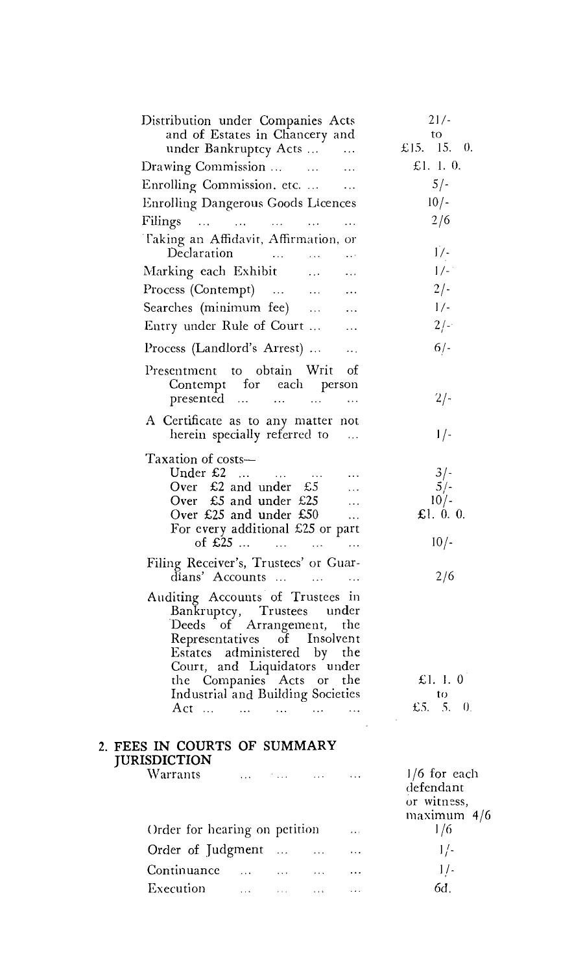| Distribution under Companies Acts<br>and of Estates in Chancery and<br>under Bankruptcy Acts                                                                                                                                                                        |                 |                             |                                     | $\bar{\epsilon}$ , $\bar{\epsilon}$ | $21/-$<br>to<br>£15. 15. 0.                               |
|---------------------------------------------------------------------------------------------------------------------------------------------------------------------------------------------------------------------------------------------------------------------|-----------------|-----------------------------|-------------------------------------|-------------------------------------|-----------------------------------------------------------|
| Drawing Commission                                                                                                                                                                                                                                                  |                 |                             |                                     |                                     | £1. 1. 0.                                                 |
| Enrolling Commission, etc.                                                                                                                                                                                                                                          |                 |                             |                                     | $\ldots$<br>$\ddotsc$               | $5/-$                                                     |
| Enrolling Dangerous Goods Licences                                                                                                                                                                                                                                  |                 |                             |                                     |                                     | $10/-$                                                    |
| Filings                                                                                                                                                                                                                                                             |                 |                             |                                     | $\ldots$                            | 2/6                                                       |
| Taking an Affidavit, Affirmation, or<br>Declaration                                                                                                                                                                                                                 |                 |                             |                                     |                                     | $1/-$                                                     |
| Marking each Exhibit                                                                                                                                                                                                                                                |                 |                             | $\ddotsc$                           |                                     | $1/-$                                                     |
| Process (Contempt)                                                                                                                                                                                                                                                  |                 |                             |                                     | $\cdots$                            | $2/-$                                                     |
| Searches (minimum fee)                                                                                                                                                                                                                                              |                 |                             |                                     | $\cdots$                            | $1/-$                                                     |
| Entry under Rule of Court                                                                                                                                                                                                                                           |                 |                             |                                     | $\cdots$                            | $2/-$                                                     |
| Process (Landlord's Arrest)                                                                                                                                                                                                                                         |                 |                             |                                     | $\ldots$ .                          | $6/-$                                                     |
| Presentment to obtain Writ<br>Contempt for each person<br>presented                                                                                                                                                                                                 |                 |                             |                                     | οf                                  | $2/-$                                                     |
|                                                                                                                                                                                                                                                                     |                 |                             |                                     | .                                   |                                                           |
| A Certificate as to any matter not<br>herein specially referred to                                                                                                                                                                                                  |                 |                             |                                     | $\sim$ 100 $\pm$                    | $1/-$                                                     |
| Taxation of costs—<br>Under £2<br>Over £2 and under £5<br>Over $£5$ and under £25<br>Over £25 and under £50<br>For every additional £25 or part                                                                                                                     | of $\pounds 25$ |                             |                                     |                                     | $3/-$<br>$5/-$<br>$10/-$<br>£1. $0.0$ .<br>$10/-$         |
| Filing Receiver's, Trustees' or Guar-<br>dians' Accounts                                                                                                                                                                                                            |                 |                             |                                     |                                     | 2/6                                                       |
| Auditing Accounts of Trustees in<br>Bankruptcy, Trustees under<br>Deeds of Arrangement, the<br>Representatives of Insolvent<br>Estates administered by the<br>Court, and Liquidators under<br>the Companies Acts or the<br>Industrial and Building Societies<br>Act |                 |                             |                                     |                                     | £1. I. O<br>$10 -$<br>£5. 5. 0.                           |
| 2. FEES IN COURTS OF SUMMARY<br><b>JURISDICTION</b>                                                                                                                                                                                                                 |                 |                             |                                     |                                     |                                                           |
| Warrants                                                                                                                                                                                                                                                            |                 |                             | and the first company of the season |                                     | $1/6$ for each<br>defendant<br>or witness,<br>maximum 4/6 |
| Order for hearing on petition                                                                                                                                                                                                                                       |                 |                             |                                     |                                     | 1/6                                                       |
| Order of Judgment                                                                                                                                                                                                                                                   |                 | $\sim 100$ km s $^{-1}$ .   | $\ddotsc$                           |                                     | $1/-$                                                     |
| Continuance                                                                                                                                                                                                                                                         | $\ldots$        | .                           |                                     |                                     | 17.                                                       |
| Execution                                                                                                                                                                                                                                                           | $\ldots$        | $\omega \rightarrow \infty$ | $\ldots$                            | .                                   | 6d.                                                       |
|                                                                                                                                                                                                                                                                     |                 |                             |                                     |                                     |                                                           |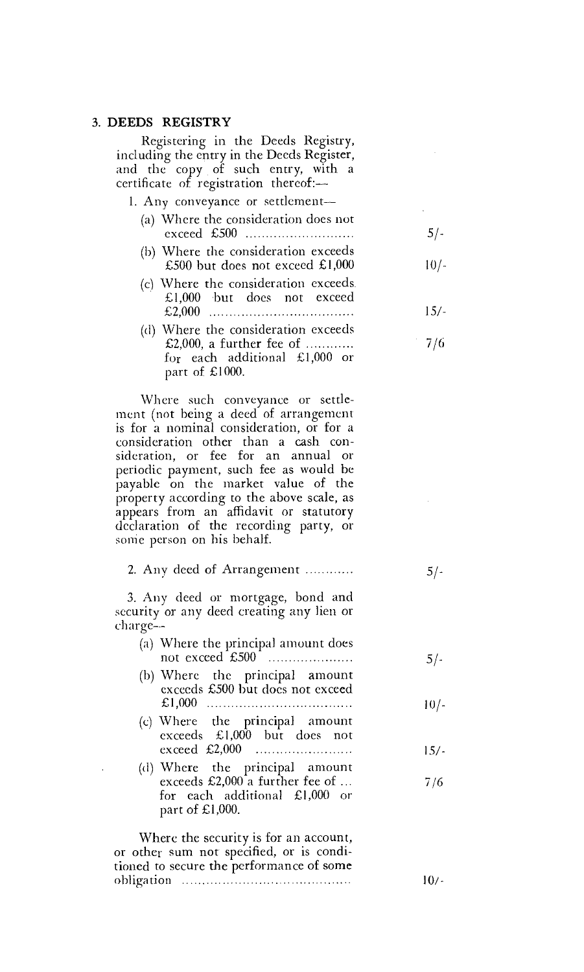## 3. DEEDS REGISTRY

Registering in the Deeds Registry, including the entry in the Deeds Register, and the copy of such entry, with a certificate of registration thereof:-

1. Any conveyance or settlement—

- (a) Where the consideration does not exceed £500 5/-
- (b) Where the consideration exceeds £500 but does not exceed  $£1,000$  10/-
- (c) Where the consideration exceeds. £1,000 but does not exceed £2,000 15/-
- (d) Where the consideration exceeds £2,000, a further fee of 7/6 for each additional £1,000 or part of £1000.

Where such conveyance or settlement (not being a deed of arrangement is for a nominal consideration, or for a consideration other than a cash consideration, or fee for an annual or periodic payment, such fee as would be payable on the market value of the property according to the above scale, as appears from an affidavit or statutory declaration of the recording party, or some person on his behalf.

2. Any deed of Arrangement

3. Any deed or mortgage, bond and security or any deed creating any lien or charge—

| (a) Where the principal amount does<br>not exceed £500                                                                | $5/-$ |
|-----------------------------------------------------------------------------------------------------------------------|-------|
| (b) Where the principal amount<br>exceeds £500 but does not exceed                                                    | 10/-  |
| (c) Where the principal amount<br>exceeds £1,000 but does not<br>exceed £2,000                                        | 15/-  |
| (d) Where the principal amount<br>exceeds £2,000 a further fee of<br>for each additional £1,000 or<br>part of £1,000. | 7/6   |
| Where the security is for an account.                                                                                 |       |

Where the security is for an account, or other sum not specified, or is conditioned to secure the performance of some obligation 10/-

*51-*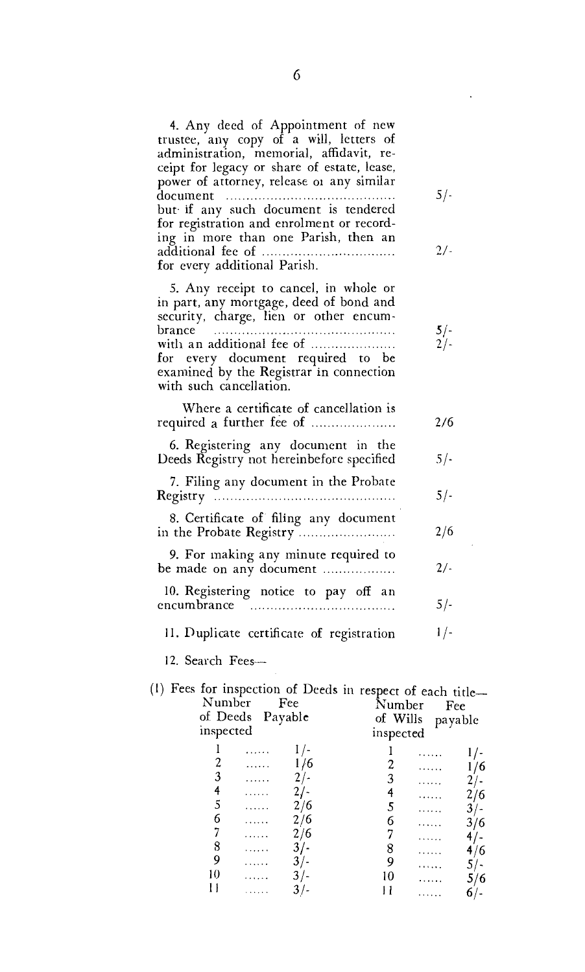| 4. Any deed of Appointment of new<br>trustee, any copy of a will, letters of<br>administration, memorial, affidavit, re-<br>ceipt for legacy or share of estate, lease,<br>power of attorney, release or any similar<br>document                                             |                                | $5$ / -        |
|------------------------------------------------------------------------------------------------------------------------------------------------------------------------------------------------------------------------------------------------------------------------------|--------------------------------|----------------|
| but if any such document is tendered<br>for registration and enrolment or record-<br>ing in more than one Parish, then an<br>for every additional Parish.                                                                                                                    |                                | 2/-            |
| 5. Any receipt to cancel, in whole or<br>in part, any mortgage, deed of bond and<br>security, charge, lien or other encum-<br>brance<br>with an additional fee of<br>for every document required to be<br>examined by the Registrar in connection<br>with such cancellation. |                                | $5/-$<br>$2/-$ |
| Where a certificate of cancellation is<br>required a further fee of                                                                                                                                                                                                          |                                | 2/6            |
| 6. Registering any document in the<br>Deeds Registry not hereinbefore specified                                                                                                                                                                                              |                                | $5/-$          |
| 7. Filing any document in the Probate                                                                                                                                                                                                                                        |                                | 5/-            |
| 8. Certificate of filing any document<br>in the Probate Registry                                                                                                                                                                                                             |                                | 2/6            |
| 9. For making any minute required to<br>be made on any document                                                                                                                                                                                                              |                                | $2/-$          |
| 10. Registering notice to pay off an<br>encumbrance                                                                                                                                                                                                                          |                                | $5/-$          |
| 11. Duplicate certificate of registration                                                                                                                                                                                                                                    |                                | 1/-            |
| 12. Search Fees-                                                                                                                                                                                                                                                             |                                |                |
| (1) Fees for inspection of Deeds in respect of each title-<br>Number Fee<br>of Deeds Payable                                                                                                                                                                                 | Number Fee<br>of Wills payable |                |

| Number,<br>ree |                  | Number<br>Fee |                  |   |     |
|----------------|------------------|---------------|------------------|---|-----|
|                | of Deeds Payable |               | of Wills payable |   |     |
| inspected      |                  |               | inspected        |   |     |
|                | .                |               |                  | . |     |
|                | .                | 16            |                  | . | 76  |
| 3              | .                |               |                  | . |     |
| 4              | .                |               |                  | . | 2/6 |
| 5              | .                | 2/6           | 5                | . | 3/- |
| 6              | .                | 2/6           | 6                | . | 3/6 |
|                | .                | 2/6           |                  | . |     |
| 8              |                  | 3/            | 8                |   | 4/6 |
|                | .                | $3/-$         | 9                | . |     |
| 10             | .                | 3/            | 10               | . | 5/6 |
|                |                  |               |                  | . | 6/- |
|                |                  |               |                  |   |     |

 $\sim 10$